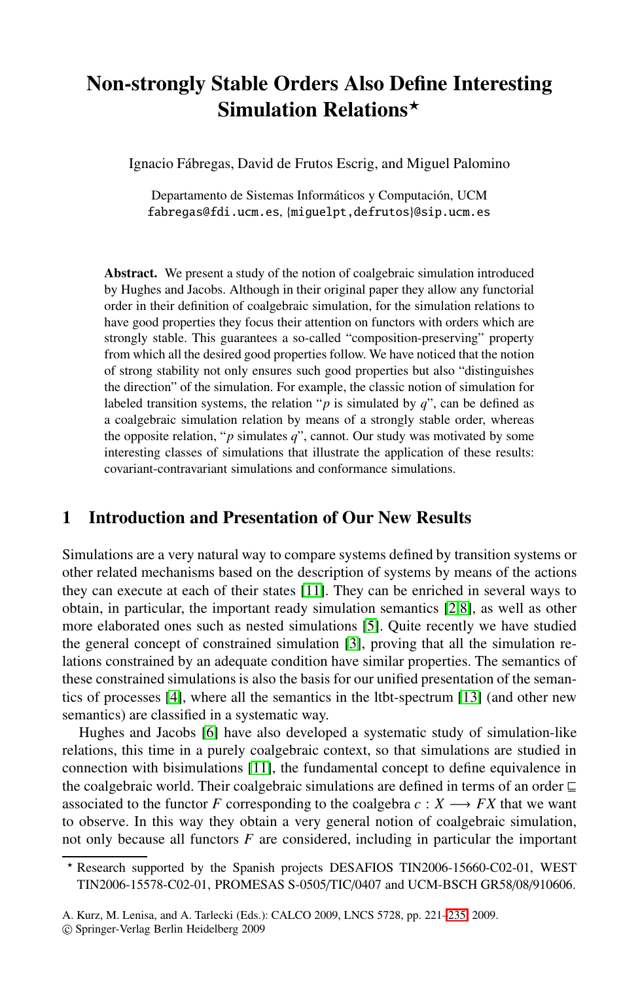# **Non-strongly Stable Orders Also Define Interesting Simulation Relations**-

Ignacio Fábregas, David de Frutos Escrig, and Miguel Palomino

Departamento de Sistemas Informáticos y Computación, UCM fabregas@fdi.ucm.es, {miguelpt,defrutos}@sip.ucm.es

**Abstract.** We present a study of the notion of coalgebraic simulation introduced by Hughes and Jacobs. Although in their original paper they allow any functorial order in their definition of coalgebraic simulation, for the simulation relations to have good properties they focus their attention on functors with orders which are strongly stable. This guarantees a so-called "composition-preserving" property from which all the desired good properties follow. We have noticed that the notion of strong stability not only ensures such good properties but also "distinguishes the direction" of the simulation. For example, the classic notion of simulation for labeled transition systems, the relation " $p$  is simulated by  $q$ ", can be defined as a coalgebraic simulation relation by means of a strongly stable order, whereas the opposite relation, "*p* simulates *q*", cannot. Our study was motivated by some interesting cl[asses](#page-14-0) of simulations that illustrate the application of these results: covariant-contravariant simulations and c[on](#page-14-1)[fo](#page-14-2)rmance simulations.

# **1 Introduction and [Pr](#page-14-3)esentation of Our New Results**

Simulations are a very natural way to compare [sys](#page-14-4)tems defined by transition systems or other related mechanisms based on the description of systems by means of the actions the[y c](#page-14-5)an execute at each of their states [11]. They can be enriched in several ways to obtain, in particular, the important ready simulation semantics [2,8], as well as other more elab[orate](#page-14-0)d ones such as nested simulations [5]. Quite recently we have studied the general concept of constrained simulation [3], proving that all the simulation relations constrained by an adequate condition have similar properties. The semantics of these constrained simulations is also the basis for our unified presentation of the semantics of processes [4], where all the semantics in the ltbt-spectrum [13] (and other new semantics) are classified in a systematic way.

Hughes and Jacobs [6] have also developed a systematic study of simulation-like relations, this time in a purely coalgebraic context, so that simulations are studied in connection with bisimulations [11], the fundamental concept to define equivalence in the coalgebraic world. Their coalgebraic si[mula](#page-14-6)tions are defined in terms of an order  $\sqsubseteq$ associated to the functor *F* corresponding to the coalgebra  $c: X \longrightarrow FX$  that we want to observe. In this way they obtain a very general notion of coalgebraic simulation, not only because all functors *F* are considered, including in particular the important

 $\star$  Research supported by the Spanish projects DESAFIOS TIN2006-15660-C02-01, WEST TIN2006-15578-C02-01, PROMESAS S-0505/TIC/0407 and UCM-BSCH GR58/08/910606.

A. Kurz, M. Lenisa, and A. Tarlecki (Eds.): CALCO 2009, LNCS 5728, pp. 221–235, 2009.

c Springer-Verlag Berlin Heidelberg 2009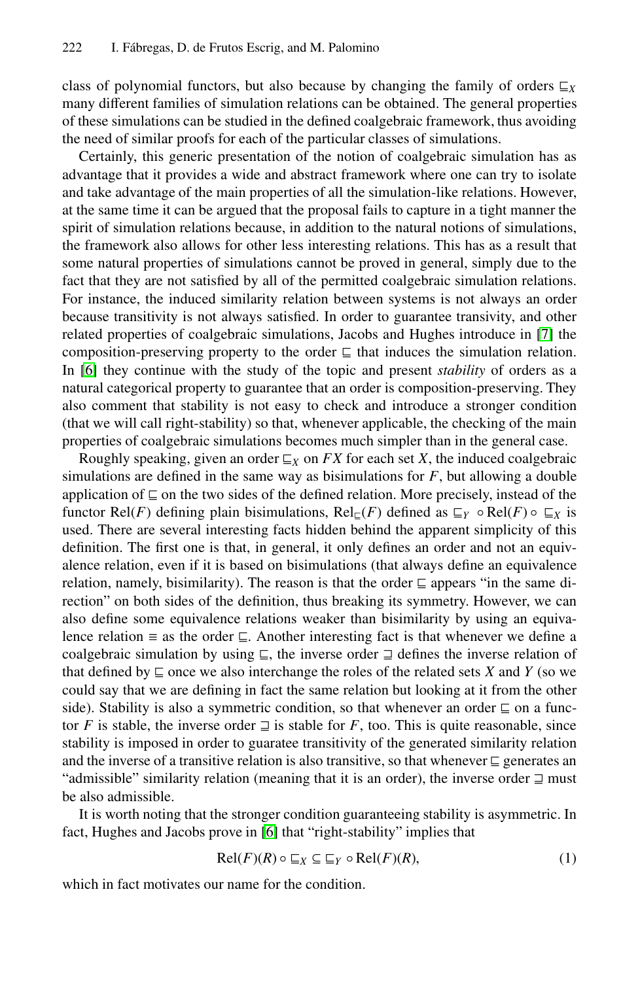class of polynomial functors, but also because by changing the family of orders  $\mathbb{Z}_X$ many different families of simulation relations can be obtained. The general properties of these simulations can be studied in the defined coalgebraic framework, thus avoiding the need of similar proofs for each of the particular classes of simulations.

Certainly, this generic presentation of the notion of coalgebraic simulation has as advantage that it provides a wide and abstract framework where one can try to isolate and take advantage of the main properties of all the simulati[on](#page-14-7)-like relations. However, at the same time it can be argued that the proposal fails to capture in a tight manner the spirit of simulation relations because, in addition to the natural notions of simulations, the framework also allows for other less interesting relations. This has as a result that some natural properties of simulations cannot be proved in general, simply due to the fact that they are not satisfied by all of the permitted coalgebraic simulation relations. For instance, the induced similarity relation between systems is not always an order because transitivity is not always satisfied. In order to guarantee transivity, and other related properties of coalgebraic simulations, Jacobs and Hughes introduce in [7] the composition-preserving property to the order  $\subseteq$  that induces the simulation relation. In [6] they continue with the study of the topic and present *stability* of orders as a natural categorical property to guarantee that an order is composition-preserving. They also comment that stability is not easy to check and introduce a stronger condition (that we will call right-stability) so that, whenever applicable, the checking of the main properties of coalgebraic simulations becomes much simpler than in the general case.

Roughly speaking, given an order  $\sqsubseteq_X$  on *FX* for each set *X*, the induced coalgebraic simulations are defined in the same way as bisimulations for *F*, but allowing a double application of  $\sqsubseteq$  on the two sides of the defined relation. More precisely, instead of the functor Rel(*F*) defining plain bisimulations, Rel<sub> $\subseteq$ </sub>(*F*) defined as  $\subseteq$ <sub>*Y*</sub>  $\circ$  Rel(*F*) $\circ \subseteq$ *X* is used. There are several interesting facts hidden behind the apparent simplicity of this definition. The first one is that, in general, it only defines an order and not an equivalence relation, even if it is based on bisimulations (that always define an equivalence relation, namely, bisimilarity). The reason is that the order  $\sqsubseteq$  appears "in the same direction" on both sides of the definition, thus breaking its symmetry. However, we can also define some equivalence relations weaker than bisimilarity by using an equivalence relation  $\equiv$  as the order  $\sqsubseteq$ . Another interesting fact is that whenever we define a coalgebraic simulation by using  $\subseteq$ , the inverse order  $\supseteq$  defines the inverse relation of that defined by  $\subseteq$  once we also interchange the roles of the related sets *X* and *Y* (so we could say tha[t w](#page-14-5)e are defining in fact the same relation but looking at it from the other side). Stability is also a symmetric condition, so that whenever an order  $\subseteq$  on a functor *F* is stable, the inverse order  $\supseteq$  is stable for *F*, too. This is quite reasonable, since stability is imposed in order to guaratee transitivity of the generated similarity relation and the inverse of a transitive relation is also transitive, so that whenever  $\subseteq$  generates an "admissible" similarity relation (meaning that it is an order), the inverse order  $\supseteq$  must be also admissible.

<span id="page-1-0"></span>It is worth noting that the stronger condition guaranteeing stability is asymmetric. In fact, Hughes and Jacobs prove in [6] that "right-stability" implies that

$$
Rel(F)(R) \circ \sqsubseteq_X \subseteq \sqsubseteq_Y \circ Rel(F)(R),\tag{1}
$$

which in fact motivates our name for the condition.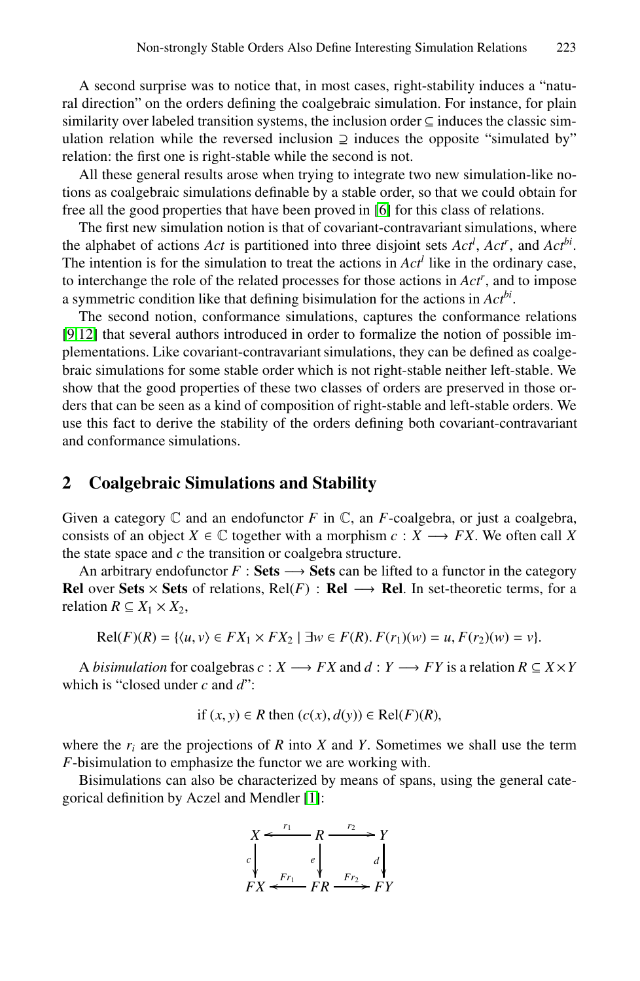A second surprise was to not[ice](#page-14-5) that, in most cases, right-stability induces a "natural direction" on the orders defining the coalgebraic simulation. For instance, for plain similarity over labeled transition systems, the inclusion order  $\subseteq$  induces the classic simulation relation while the reversed inclusion  $\supset$  induces the opposite "simulated by" relation: the first one is right-stable while the second is not.

All these general results arose when trying to integrate two new simulation-like notions as coalgebraic simulations definable by a stable order, so that we could obtain for free all the good properties that have been proved in [6] for this class of relations.

The first new simulation notion is that of covariant-contravariant simulations, where the alphabet of actions *Act* is partitioned into three disjoint sets *Act<sup>l</sup>*, *Act<sup>r</sup>*, and *Act<sup>bi</sup>*. The intention is for the simulation to treat the actions in  $Act^{\prime}$  like in the ordinary case, to interchange the role of the related processes for those actions in *Actr* , and to impose a symmetric condition like that defining bisimulation for the actions in *Actbi*.

The second notion, conformance simulations, captures the conformance relations [9,12] that several authors introduced in order to formalize the notion of possible implementations. Like covariant-contravariant simulations, they can be defined as coalgebraic simulations for some stable order which is not right-stable neither left-stable. We show that the good properties of these two classes of orders are preserved in those orders that can be seen as a kind of composition of right-stable and left-stable orders. We use this fact to derive the stability of the orders defining both covariant-contravariant and conformance simulations.

## **2 Coalgebraic Simulations and Stability**

Given a category  $\mathbb C$  and an endofunctor *F* in  $\mathbb C$ , an *F*-coalgebra, or just a coalgebra, consists of an object  $X \in \mathbb{C}$  together with a morphism  $c: X \longrightarrow FX$ . We often call X the state space and *c* the transition or coalgebra structure.

An arbitrary endofunctor  $F : \mathbf{Sets} \longrightarrow \mathbf{Sets}$  can be lifted to a functor in the category **Rel** over **Sets**  $\times$  **Sets** of relations, Rel(*F*) : **Rel** → **Rel**. In set-theoretic terms, for a relation  $R \subseteq X_1 \times X_2$ ,

$$
Rel(F)(R) = \{ \langle u, v \rangle \in FX_1 \times FX_2 \mid \exists w \in F(R). F(r_1)(w) = u, F(r_2)(w) = v \}.
$$

A *bisimulation* fo[r](#page-14-8) [c](#page-14-8)oalgebras  $c: X \longrightarrow FX$  and  $d: Y \longrightarrow FY$  is a relation  $R \subseteq X \times Y$ which is "closed under *c* and *d*":

if 
$$
(x, y) \in R
$$
 then  $(c(x), d(y)) \in Rel(F)(R)$ ,

where the  $r_i$  are the projections of  $R$  into  $X$  and  $Y$ . Sometimes we shall use the term *F*-bisimulation to emphasize the functor we are working with.

Bisimulations can also be characterized by means of spans, using the general categorical definition by Aczel and Mendler [1]:

$$
X \xleftarrow{r_1} R \xrightarrow{r_2} Y
$$
  
\n
$$
e \qquad e \qquad d \qquad d
$$
  
\n
$$
FX \xleftarrow{Fr_1} FR \xrightarrow{Fr_2} FY
$$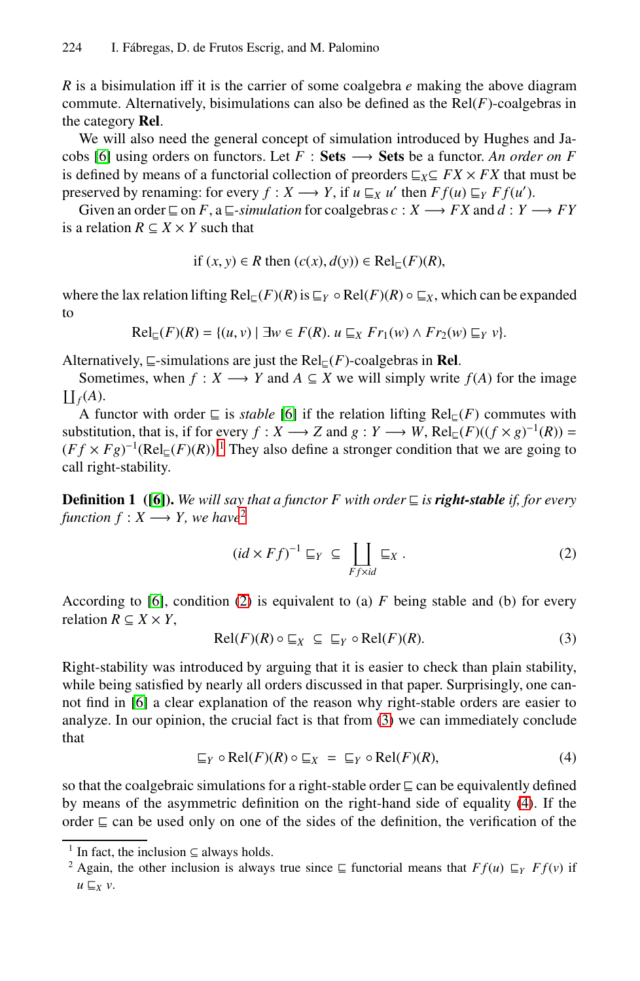*R* is a bisimulation iff it is the carrier of some coalgebra *e* making the above diagram commute. Alternatively, bisimulations can also be defined as the Rel(*F*)-coalgebras in the category **Rel**.

We will also need the general concept of simulation introduced by Hughes and Jacobs [6] using orders on functors. Let  $F : \mathbf{Sets} \longrightarrow \mathbf{Sets}$  be a functor. An order on F is defined by means of a functorial collection of preorders  $\sqsubseteq_X \subseteq FX \times FX$  that must be preserved by renaming: for every  $f : X \longrightarrow Y$ , if  $u \sqsubseteq_X u'$  then  $Ff(u) \sqsubseteq_Y Ff(u')$ .

Given an order  $\sqsubseteq$  on *F*, a  $\sqsubseteq$ -*simulation* for coalgebras *c* : *X*  $\longrightarrow$  *FX* and *d* : *Y*  $\longrightarrow$  *FY* is a relation  $R \subseteq X \times Y$  such that

if 
$$
(x, y) \in R
$$
 then  $(c(x), d(y)) \in Rel_{\sqsubseteq}(F)(R)$ ,

wh[e](#page-3-0)re [t](#page-3-0)he lax relation lifting  $\text{Rel}_{\mathbb{E}}(F)(R)$  is  $\mathbb{E}_Y \circ \text{Rel}(F)(R) \circ \mathbb{E}_X$ , which can be expanded to

$$
Rel_{\sqsubseteq}(F)(R) = \{(u, v) \mid \exists w \in F(R). \ u \sqsubseteq_X Fr_1(w) \land Fr_2(w) \sqsubseteq_Y v\}.
$$

Alternatively,  $\sqsubseteq$ -simulations are just the  $\text{Rel}_{\sqsubseteq}(F)$ -coalgebras in **Rel**.

Some[tim](#page-3-1)es, when  $f: X \longrightarrow Y$  and  $A \subseteq X$  we will simply write  $f(A)$  for the image  $\iint_f(A)$ .

<span id="page-3-2"></span>A functor with order  $\subseteq$  is *stable* [6] if the relation lifting  $\text{Rel}_{\subseteq}(F)$  commutes with substitution, that is, if for every  $f : X \longrightarrow Z$  and  $g : Y \longrightarrow W$ , Rel<sub> $\subseteq$ </sub> $(F)((f \times g)^{-1}(R)) =$  $(F f \times F g)^{-1}(\text{Rel}_{\Sigma}(F)(R))$ .<sup>1</sup> They also define a stronger condition that we are going to call righ[t-s](#page-3-2)tability.

**Definition 1** ([6]). We will say that a functor  $F$  with order  $\subseteq$  is **right-stable** if, for every *function*  $f: X \longrightarrow Y$ *, we have*<sup>2</sup>

$$
(id \times Ff)^{-1} \sqsubseteq_Y \subseteq \coprod_{Ff \times id} \sqsubseteq_X.
$$
 (2)

<span id="page-3-3"></span>According to  $[6]$ , condition  $(2)$  is equivalent to  $(a)$  *F* being stable and  $(b)$  for every relation  $R \subseteq X \times Y$ ,

$$
Rel(F)(R) \circ \sqsubseteq_X \subseteq \sqsubseteq_Y \circ Rel(F)(R). \tag{3}
$$

Right-stability was introduced by arguing that it is easi[er t](#page-3-3)o check than plain stability, while being satisfied by nearly all orders discussed in that paper. Surprisingly, one cannot find in [6] a clear explanation of the reason why right-stable orders are easier to analyze. In our opinion, the crucial fact is that from (3) we can immediately conclude that

$$
\sqsubseteq_Y \circ Rel(F)(R) \circ \sqsubseteq_X \ = \ \sqsubseteq_Y \circ Rel(F)(R),\tag{4}
$$

<span id="page-3-1"></span><span id="page-3-0"></span>so that the coalgebraic simulations for a right-stable order  $\subseteq$  can be equivalently defined by means of the asymmetric definition on the right-hand side of equality (4). If the order  $\subseteq$  can be used only on one of the sides of the definition, the verification of the

<sup>&</sup>lt;sup>1</sup> In fact, the inclusion  $\subseteq$  always holds.

<sup>&</sup>lt;sup>2</sup> Again, the other inclusion is always true since  $\subseteq$  functorial means that  $Ff(u) \subseteq_Y Ff(v)$  if  $u \sqsubseteq_X v$ .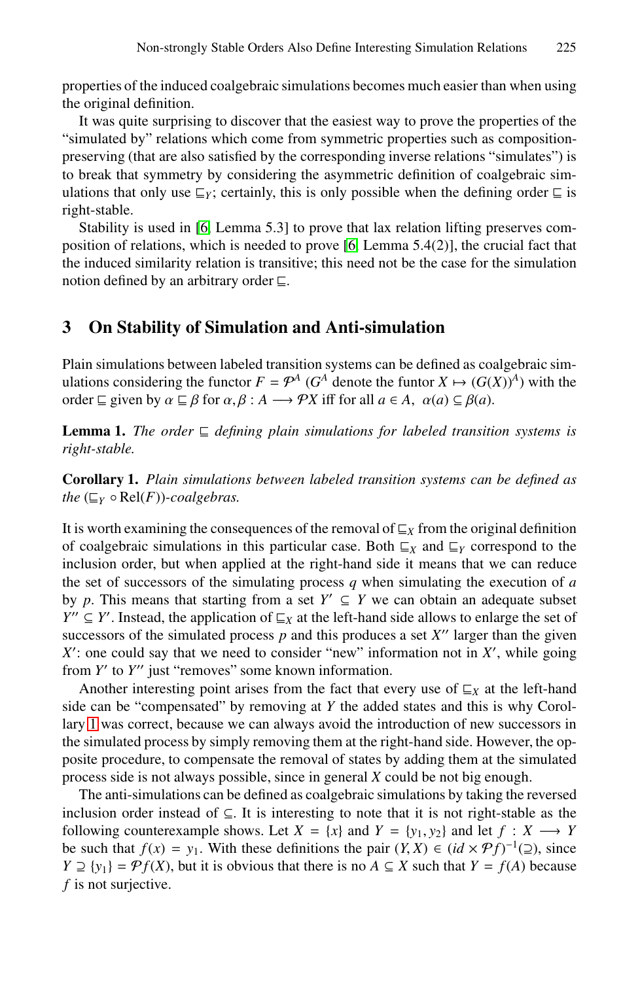pr[op](#page-14-5)erties of the induced coalgebraic simulations becomes much easier than when using the original definition.

It was quite surprising t[o](#page-14-5) [d](#page-14-5)iscover that the easiest way to prove the properties of the "simulated by" relations which come from symmetric properties such as compositionpreserving (that are also satisfied by the corresponding inverse relations "simulates") is to break that symmetry by considering the asymmetric definition of coalgebraic simulations that only use  $\sqsubseteq$ *y*; certainly, this is only possible when the defining order  $\sqsubseteq$  is right-stable.

Stability is used in [6, Lemma 5.3] to prove that lax relation lifting preserves composition of relations, which is needed to prove [6, Lemma 5.4(2)], the crucial fact that the induced similarity relation is transitive; this need not be the case for the simulation notion defined by an arbitrary order  $\sqsubseteq$ .

## **3 On Stability of Simulation and Anti-simulation**

Plain simulations between labeled transition systems can be defined as coalgebraic simulations considering the functor  $F = \mathcal{P}^A$  ( $G^A$  denote the funtor  $X \mapsto (G(X))^A$ ) with the order  $\subseteq$  given by  $\alpha \subseteq \beta$  for  $\alpha, \beta : A \longrightarrow \mathcal{P}X$  iff for all  $a \in A$ ,  $\alpha(a) \subseteq \beta(a)$ .

**Lemma 1.** *The order*  $\subseteq$  *defining plain simulations for labeled transition systems is right-stable.*

**Corollary 1.** *Plain simulations between labeled transition systems can be defined as the*  $(\sqsubseteq_Y \circ Rel(F))$ *-coalgebras.* 

It is worth examining the consequences of the removal of  $\mathcal{L}_X$  from the original definition of coalgebraic simulations in this particular case. Both  $\mathbb{Z}_X$  and  $\mathbb{Z}_Y$  correspond to the inclusion order, but when applied at the right-hand side it means that we can reduce the set of successors of the simulating process *q* when simulating the execution of *a* by *p*. This means that starting from a set  $Y' \subseteq Y$  we can obtain an adequate subset *Y*<sup>*''*</sup> ⊆ *Y*'. Instead, the application of  $\sqsubseteq$ <sub>*X*</sub> at the left-hand side allows to enlarge the set of successors of the simulated process  $p$  and this produces a set  $X''$  larger than the given *X* : one could say that we need to consider "new" information not in *X* , while going from *Y'* to *Y''* just "removes" some known information.

Another interesting point arises from the fact that every use of  $\mathbb{Z}_X$  at the left-hand side can be "compensated" by removing at *Y* the added states and this is why Corollary 1 was correct, because we can always avoid the introduction of new successors in the simulated process by simply removing them at the right-hand side. However, the opposite procedure, to compensate the removal of states by adding them at the simulated process side is not always possible, since in general *X* could be not big enough.

The anti-simulations can be defined as coalgebraic simulations by taking the reversed inclusion order instead of ⊆. It is interesting to note that it is not right-stable as the following counterexample shows. Let  $X = \{x\}$  and  $Y = \{y_1, y_2\}$  and let  $f : X \longrightarrow Y$ be such that  $f(x) = y_1$ . With these definitions the pair  $(Y, X) \in (id \times \mathcal{P}f)^{-1}(\supseteq)$ , since *Y* ⊇ {*y*<sub>1</sub>} =  $\mathcal{P}f(X)$ , but it is obvious that there is no *A* ⊆ *X* such that *Y* = *f*(*A*) because *f* is not surjective.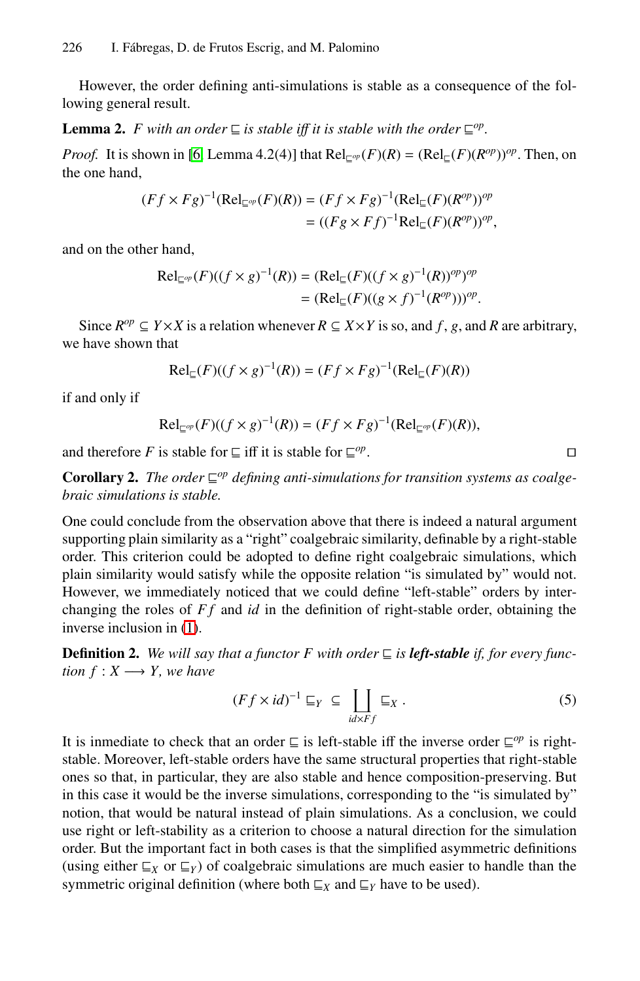However, the order defining anti-simulations is stable as a consequence of the following general result.

**Lemma 2.** *F* with an order  $\subseteq$  is stable iff it is stable with the order  $\subseteq^{op}$ .

*Proof.* It is shown in [6, Lemma 4.2(4)] that  $\text{Rel}_{\mathbb{Z}^{\text{op}}}(F)(R) = (\text{Rel}_{\mathbb{Z}}(F)(R^{\text{op}}))^{op}$ . Then, on the one hand,

$$
(Ff \times Fg)^{-1}(\text{Rel}_{\sqsubseteq^{op}}(F)(R)) = (Ff \times Fg)^{-1}(\text{Rel}_{\sqsubseteq}(F)(R^{op}))^{op}
$$

$$
= ((Fg \times Ff)^{-1}\text{Rel}_{\sqsubseteq}(F)(R^{op}))^{op},
$$

and on the other hand,

$$
Rel_{\sqsubseteq^{op}}(F)((f \times g)^{-1}(R)) = (Rel_{\sqsubseteq}(F)((f \times g)^{-1}(R))^{op})^{op}
$$
  
= 
$$
(Rel_{\sqsubseteq}(F)((g \times f)^{-1}(R^{op})))^{op}.
$$

Since  $R^{op} ⊆ Y \times X$  is a relation whenever  $R ⊆ X \times Y$  is so, and  $f$ ,  $g$ , and  $R$  are arbitrary, we have shown that

$$
Rel_{\sqsubseteq}(F)((f \times g)^{-1}(R)) = (Ff \times Fg)^{-1}(Rel_{\sqsubseteq}(F)(R))
$$

if and only if

$$
\text{Rel}_{\sqsubseteq^{op}}(F)((f \times g)^{-1}(R)) = (Ff \times Fg)^{-1}(\text{Rel}_{\sqsubseteq^{op}}(F)(R)),
$$

and therefore *F* is stable for  $\sqsubseteq$  iff it is stable for  $\sqsubseteq$ *op*.

**Corollary 2.** The order  $\mathbb{E}^{op}$  defining anti-simulations for transition systems as coalge*[br](#page-1-0)aic simulations is stable.*

One could conclude from the observation above that there is indeed a natural argument supporting plain similarity as a "right" coalgebraic similarity, definable by a right-stable order. This criterion could be adopted to define right coalgebraic simulations, which plain similarity would satisfy while the opposite relation "is simulated by" would not. However, we immediately noticed that we could define "left-stable" orders by interchanging the roles of *F f* and *id* in the definition of right-stable order, obtaining the inverse inclusion in (1).

**Definition 2.** We will say that a functor  $F$  with order  $\subseteq$  is **left-stable** if, for every func*tion*  $f: X \longrightarrow Y$ *, we have* 

$$
(Ff \times id)^{-1} \sqsubseteq_Y \subseteq \coprod_{id \times Ff} \sqsubseteq_X.
$$
 (5)

It is inmediate to check that an order  $\subseteq$  is left-stable iff the inverse order  $\subseteq^{op}$  is rightstable. Moreover, left-stable orders have the same structural properties that right-stable ones so that, in particular, they are also stable and hence composition-preserving. But in this case it would be the inverse simulations, corresponding to the "is simulated by" notion, that would be natural instead of plain simulations. As a conclusion, we could use right or left-stability as a criterion to choose a natural direction for the simulation order. But the important fact in both cases is that the simplified asymmetric definitions (using either  $\sqsubseteq_X$  or  $\sqsubseteq_Y$ ) of coalgebraic simulations are much easier to handle than the symmetric original definition (where both  $\mathbb{Z}_X$  and  $\mathbb{Z}_Y$  have to be used).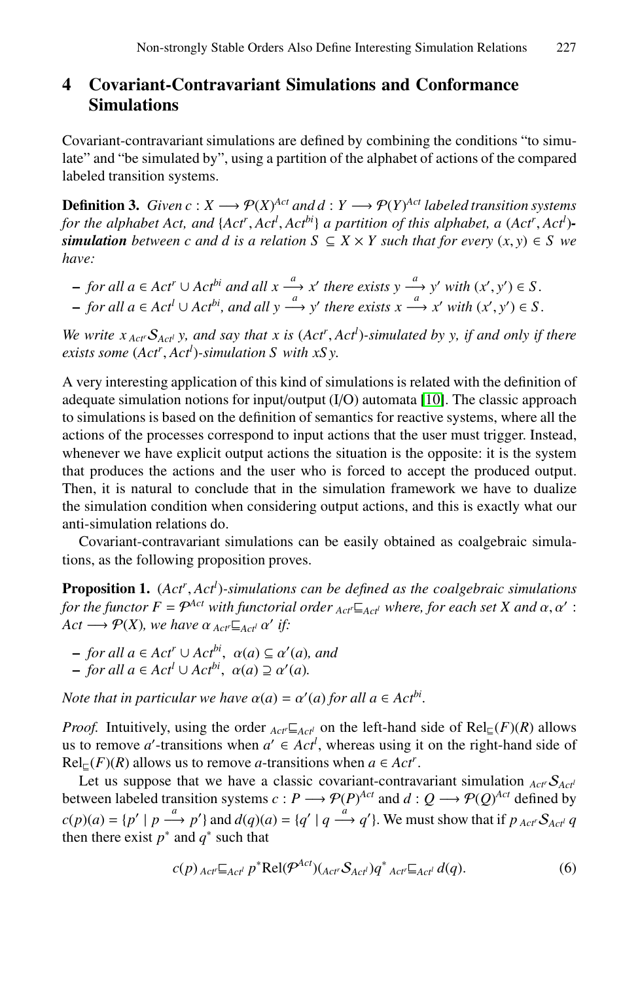# **4 Covariant-Contravariant Simulations and Conformance Simulations**

Covariant-contravariant simulations are defined by combining the conditions "to simulate" and "be simulated by", using a partition of the alphabet of actions of the compared labeled transition systems.

**Definition 3.** *Given c* :  $X \longrightarrow \mathcal{P}(X)^{Act}$  *and d* :  $Y \longrightarrow \mathcal{P}(Y)^{Act}$  *labeled transition systems for the alphabet Act, and* {*Act<sup>r</sup>* , *Act<sup>l</sup>* , *Actbi*} *a partition of this alphabet, a* (*Act<sup>r</sup>* , *Act<sup>l</sup>* ) *simulation between c and d is a relation*  $S \subseteq X \times Y$  *such that for every*  $(x, y) \in S$  *we have:*

 $\rightarrow$  *for all a* ∈ *Act<sup>r</sup>* ∪ *Act<sup>bi</sup> and all x*  $\stackrel{a}{\longrightarrow}$  *x' there exists y*  $\stackrel{a}{\longrightarrow}$  *y' with* (*x'*, *y'*) ∈ *S*.  $\rightarrow$  *for all a* ∈ *Act<sup>l</sup>* ∪ *Act<sup>bi</sup>*, *and all*  $y \xrightarrow{a} y'$  *there exists*  $x \xrightarrow{a} x'$  *with*  $(x', y') \in S$ .

*We write*  $x_{Act}$   $S_{Act}$  *y, and say that x is (Act<sup>r</sup>, Act<sup>l</sup>)-simulated by y, if and only if there exists some* (*Act<sup>r</sup>* , *Act<sup>l</sup>* )*-simulation S with xS y.*

<span id="page-6-0"></span>A very interesting application of this kind of simulations is related with the definition of adequate simulation notions for input/output (I/O) automata [10]. The classic approach to simulations is based on the definition of semantics for reactive systems, where all the actions of the processes correspond to input actions that the user must trigger. Instead, whenever we have explicit output actions the situation is the opposite: it is the system that produces the actions and the user who is forced to accept the produced output. Then, it is natural to conclude that in the simulation framework we have to dualize the simulation condition when considering output actions, and this is exactly what our anti-simulation relations do.

Covariant-contravariant simulations can be easily obtained as coalgebraic simulations, as the following proposition proves.

**Proposition 1.** (*Act<sup>r</sup>* , *Act<sup>l</sup>* )*-simulations can be defined as the coalgebraic simulations for the functor F =*  $\mathcal{P}^\mathrm{Act}$  *with functorial order*  $_{Act'}\sqsubseteq_{Act'}$  *where, for each set X and*  $\alpha,\alpha'$  *:*  $Act \longrightarrow \mathcal{P}(X)$ , we have  $\alpha_{Act'} \sqsubseteq_{Act'} \alpha'$  if:

- **–** *for all a* ∈ *Act<sup>r</sup>* ∪ *Actbi*, α(*a*) ⊆ α (*a*)*, and*
- **–** *for all a* ∈ *Act<sup>l</sup>* ∪ *Actbi*, α(*a*) ⊇ α (*a*)*.*

*Note that in particular we have*  $\alpha(a) = \alpha'(a)$  *for all*  $a \in \text{Act}^{bi}$ .

*Proof.* Intuitively, using the order  $_{Acr} \sqsubseteq_{Acr}$  on the left-hand side of Rel<sub> $\sqsubseteq$ </sub>(*F*)(*R*) allows us to remove *a'*-transitions when  $a' \in Act^l$ , whereas using it on the right-hand side of  $\text{Rel}_{\sqsubseteq}(F)(R)$  allows us to remove *a*-transitions when  $a \in Act^r$ .

Let us suppose that we have a classic covariant-contravariant simulation  $_{Act}S_{Act}$ between labeled transition systems  $c: P \longrightarrow \mathcal{P}(P)^{Act}$  and  $d: Q \longrightarrow \mathcal{P}(Q)^{Act}$  defined by  $c(p)(a) = \{p' \mid p \stackrel{a}{\longrightarrow} p'\}$  and  $d(q)(a) = \{q' \mid q \stackrel{a}{\longrightarrow} q'\}$ . We must show that if  $p_{\text{A}cr}$   $S_{\text{A}cr}$ then there exist  $p^*$  and  $q^*$  such that

$$
c(p)_{Act'}\sqsubseteq_{Act'} p^*Rel(P^{Act})(_{Act'}\mathcal{S}_{Act'})q^*_{Act'}\sqsubseteq_{Act'}d(q).
$$
 (6)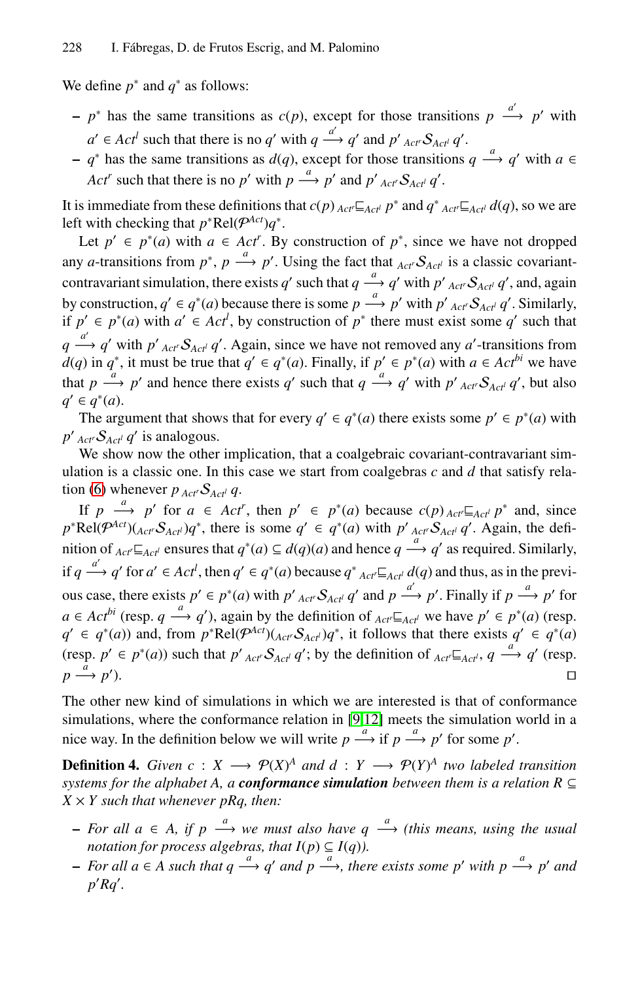We define *p*<sup>∗</sup> and *q*<sup>∗</sup> as follows:

- $p^*$  has the same transitions as  $c(p)$ , except for those transitions  $p \stackrel{a'}{\longrightarrow} p'$  with  $a' \in \text{Act}^l$  such that there is no *q'* with  $q \xrightarrow{a'} q'$  and  $p'_{\text{Act}^r} S_{\text{Act}^l} q'$ .
- $q^*$  has the same transitions as  $d(q)$ , except for those transitions  $q \stackrel{a}{\longrightarrow} q'$  with  $a \in$ *Act<sup><i>r*</sup> such that there is no *p'* with  $p \xrightarrow{a} p'$  and  $p'_{Acr}S_{Acr}q'.$

It is immediate from these definitions that  $c(p)$   $_{Act'}\sqsubseteq_{Act'} p^*$  and  $q^*$   $_{Act'}\sqsubseteq_{Act'} d(q)$ , so we are left with checking that  $p^*Rel(P^{Act})q^*$ .

Let  $p' \in p^*(a)$  with  $a \in \text{Act}^r$ . By construction of  $p^*$ , since we have not dropped any *a*-transitions from  $p^*$ ,  $p \xrightarrow{a} p'$ . Using the fact that  $_{Acr} S_{Acr}$  is a classic covariantcontravariant simulation, there exists *q*' such that  $q \stackrel{a}{\longrightarrow} q'$  with  $p'_{Act'}S_{Act'}q'$ , and, again by construction,  $q' \in q^*(a)$  because there is some  $p \stackrel{a}{\longrightarrow} p'$  with  $p'_{\text{Acr}} S_{\text{Acr}} q'$ . Similarly, if  $p' \in p^*(a)$  with  $a' \in \text{Act}^l$ , by construction of  $p^*$  there must exist some  $q'$  such that  $q \stackrel{a'}{\longrightarrow} q'$  with  $p'_{Act'}S_{Act'}q'$ . Again, since we have not removed any *a*'-transitions from *d*(*q*) in *q*<sup>∗</sup>, it must be true that *q*' ∈ *q*<sup>∗</sup>(*a*). Finally, if *p*' ∈ *p*<sup>∗</sup>(*a*) with *a* ∈ *Act*<sup>*bi*</sup> we have that  $p \stackrel{a}{\longrightarrow} p'$  and hence there exists *q'* such that  $q \stackrel{a}{\longrightarrow} q'$  with  $p'_{Act'}S_{Act'}q'$ , but also *q*' ∈  $q^*(a)$ .

The argument that shows that for every  $q' \in q^*(a)$  there exists some  $p' \in p^*(a)$  with  $p'$ <sub>*Act<sup>r</sup>S<sub>Act<sup>l</sup></sub> q*' is analogous.</sub>

We show now the other implication, that a coalgebraic covariant-contravariant simulation is a classic one. In this case we start from coalgebras *c* and *d* that satisfy relation (6) whenever  $p_{Act'}S_{Act'}q$ .

If  $p \xrightarrow{a} p'$  for  $a \in Act^r$ , then  $p' \in p^*(a)$  because  $c(p)_{Act} \sqsubseteq_{Act^l} p^*$  and, since  $p^*Rel(\mathcal{P}^{Act})$ (*Actr* $\mathcal{S}_{Act}$ *)q*<sup>∗</sup>, there is some  $q' \in q^*(a)$  with  $p'_{Act'}\mathcal{S}_{Act'}$  *q'*. Again, the definition of  $_{Act'}\equiv_{Act'}$  ensures that  $q^*(a) \subseteq d(q)(a)$  and hence  $q \stackrel{a}{\longrightarrow} q'$  as required. Similarly, if  $q \stackrel{a'}{\longrightarrow} q'$  $q \stackrel{a'}{\longrightarrow} q'$  for  $a' \in Act^l$ , then  $q' \in q^*(a)$  because  $q^*|_{Act'} \sqsubseteq_{Act'} d(q)$  and thus, as in the previous case, there exists  $p' \in p^*(a)$  with  $p'_{Act'}S_{Act'}q'$  and  $p \stackrel{a'}{\longrightarrow} p'$ . Finally if  $p \stackrel{a}{\longrightarrow} p'$  for *a* ∈ *Act<sup>bi</sup>* (resp. *q*  $\stackrel{a}{\longrightarrow} q'$ ), again by the definition of  $_{Acr}$  ∈  $_{Acr}$  we have  $p' \in p^*(a)$  (resp. *q* ∈ *q*<sup>∗</sup>(*a*)) and, from *p*<sup>∗</sup>Rel( $P^{Act}$ )( $_{Acr}$ , $S_{Acr}$ )*q*<sup>\*</sup>, it follows that there exists *q*' ∈ *q*<sup>\*</sup>(*a*) (resp.  $p' \in p^*(a)$ ) such that  $p'_{Acr}S_{Acr}$  *q*'; by the definition of  $_{Acr} \sqsubseteq_{Acr} q$ ,  $q \longrightarrow q'$  (resp.  $p \stackrel{a}{\longrightarrow} p'$ ).  $\Box$ 

The other new kind of simulations in which we are interested is that of conformance simulations, where the conformance relation in [9,12] meets the simulation world in a nice way. In the definition below we will write  $p \stackrel{a}{\longrightarrow}$  if  $p \stackrel{a}{\longrightarrow} p'$  for some p'.

**Definition 4.** *Given*  $c: X \longrightarrow \mathcal{P}(X)^A$  *and*  $d: Y \longrightarrow \mathcal{P}(Y)^A$  *two labeled transition systems for the alphabet A, a conformance simulation between them is a relation*  $R \subseteq$  $X \times Y$  such that whenever pRq, then:

- *– For all a* ∈ *A*, *if p*  $\stackrel{a}{\longrightarrow}$  *we must also have q*  $\stackrel{a}{\longrightarrow}$  *(this means, using the usual notation for process algebras, that*  $I(p) \subseteq I(q)$ *).*
- $\rightarrow$  *For all a* ∈ *A such that*  $q \xrightarrow{a} q'$  *and*  $p \xrightarrow{a}$ *, there exists some p' with*  $p \xrightarrow{a} p'$  *and p Rq .*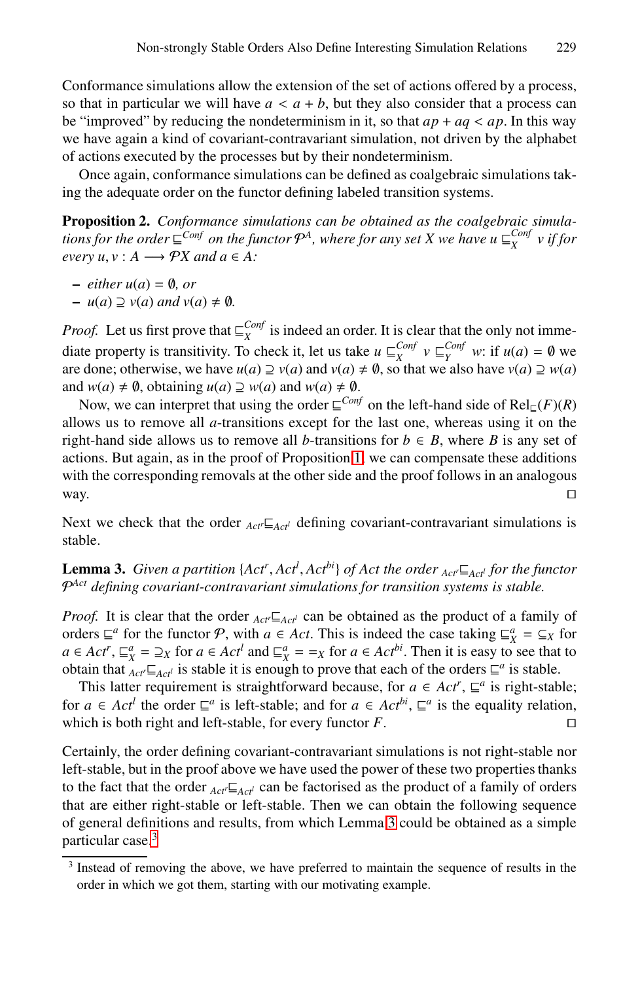Conformance simulations allow the extension of the set of actions offered by a process, so that in particular we will have  $a < a + b$ , but they also consider that a process can be "improved" by reducing the nondeterminism in it, so that  $ap + aq < ap$ . In this way we have again a kind of covariant-contravariant simulation, not driven by the alphabet of actions executed by the processes but by their nondeterminism.

Once again, conformance simulations can be defined as coalgebraic simulations taking the adequate order on the functor defining labeled transition systems.

**Proposition 2.** *Conformance simulations can be obtained as the coalgebraic simula* $t$  *tions for the order*  $\subseteq^{\text{Conf}}$  *on the functor*  $\mathcal{P}^A$ *, where for any set X we have u*  $\subseteq^{\text{Conf}}_{X}$  *v if for*  $every u, v: A \longrightarrow PX$  and  $a \in A$ .

**–** *either u*(*a*) = ∅*, or*  $- u(a) \supseteq v(a)$  *and*  $v(a) \neq \emptyset$ *.* 

*Proof.* Let us first prove that  $\mathbb{E}_X^{Conf}$  is indeed an order. It is clear that the only not immediate property is transitivity. To check it, let us take  $u \sqsubseteq_{X}^{Conf} v \sqsubseteq_{Y}^{Conf} w$ : if  $u(a) = \emptyset$  we are done; otherwise, we have  $u(a) \supseteq v(a)$  and  $v(a) \neq \emptyset$ , so that we also have  $v(a) \supseteq w(a)$ and  $w(a) \neq \emptyset$ , obtaining  $u(a) \supseteq w(a)$  and  $w(a) \neq \emptyset$ .

<span id="page-8-0"></span>Now, we can interpret that using the order  $\subseteq^{Conf}$  on the left-hand side of  $Rel_{\subseteq}(F)(R)$ allows us to remove all *a*-transitions except for the last one, whereas using it on the right-hand side allows us to remove all *b*-transitions for  $b \in B$ , where *B* is any set of actions. But again, as in the proof of Proposition 1, we can compensate these additions with the corresponding removals at the other side and the proof follows in an analogous way.  $\Box$ 

Next we check that the order  $_{Acr} \sqsubseteq_{Acr}$  defining covariant-contravariant simulations is stable.

**Lemma 3.** *Given a partition* { $Act^r$ , $Act^l$ , $Act^{bi}$ } *of Act the order*  $_{Act'}\sqsubseteq_{Act'}$  *for the functor* P*Act defining covariant-contravariant simulations for transition systems is stable.*

*Proof.* It is clear that the order  $_{Acr} \sqsubseteq_{Acr}$  can be obtained as the product of a family of orders  $\sqsubseteq^a$  for the functor  $\mathcal{P}$ , with  $a \in Act$ . This is indeed the case taking  $\sqsubseteq^a_X = \sqsubseteq_X$  for  $a \in Act^r$ ,  $\Xi_X^a = \Sigma_X$  for  $a \in Act^l$  and  $\Xi_X^a = \Xi_X$  for  $a \in Act^{bi}$ . Then it is easy to see that to obtain that  $_{Acr} =_{Acr}$  is stable it is enough to prove that each of the orders  $\subseteq^a$  is stable.

This latter requirement is strai[gh](#page-8-0)tforward because, for  $a \in \text{Act}^r$ ,  $\sqsubseteq^a$  is right-stable; for  $a \in \text{Act}^l$  the order  $\subseteq^a$  is left-stable; and for  $a \in \text{Act}^{bi}$ ,  $\subseteq^a$  is the equality relation, which is both right and left-stable, for every functor *F*.

Certainly, the order defining covariant-contravariant simulations is not right-stable nor left-stable, but in the proof above we have used the power of these two properties thanks to the fact that the order  $_{Acr} \sqsubseteq_{Acr}$  can be factorised as the product of a family of orders that are either right-stable or left-stable. Then we can obtain the following sequence of general definitions and results, from which Lemma 3 could be obtained as a simple particular case.<sup>3</sup>

<sup>&</sup>lt;sup>3</sup> Instead of removing the above, we have preferred to maintain the sequence of results in the order in which we got them, starting with our motivating example.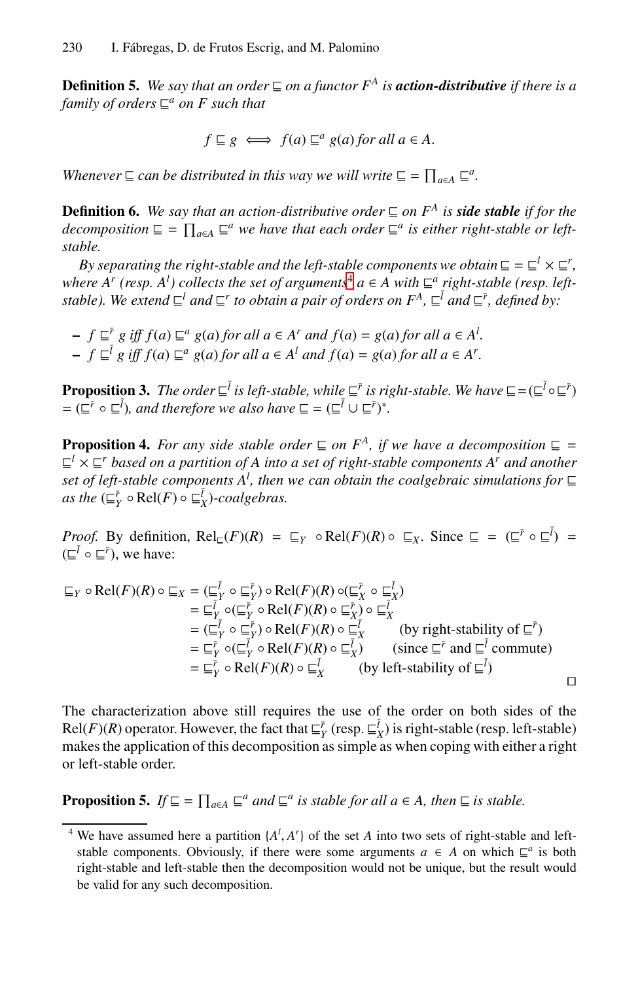**Definition 5.** We say that an order  $\subseteq$  on a functor  $F^A$  is **action-distributive** if there is a  $f$ *amily of orders*  $\sqsubseteq^a$  *on F such that* 

$$
f \sqsubseteq g \iff f(a) \sqsubseteq^a g(a)
$$
 for all  $a \in A$ .

*Whenever*  $\subseteq$  *can be distributed in this way we will write*  $\subseteq$  =  $\prod_{a \in A} \subseteq^a$ *.* 

**Definition 6.** We say that an action-distributive order  $\subseteq$  on  $F^A$  is **side stable** if for the  $decomposition \sqsubseteq = \prod_{a \in A} \sqsubseteq^a we have that each order \sqsubseteq^a is either right-stable or left$ *stable.*

<span id="page-9-1"></span>By separating the right-stable and the left-stable components we obtain  $\sqsubseteq$  =  $\sqsubseteq^l \times \sqsubseteq^r$ , *where*  $A^r$  (resp.  $A^l$ ) collects the set of arguments<sup>4</sup>  $a \in A$  with  $\sqsubseteq^a$  right-stable (resp. leftstable). We extend  $\subseteq$ <sup>*l*</sup> and  $\subseteq$ <sup>*r*</sup> to obtain a pair of orders on  $F^A$ ,  $\subseteq$ <sup>*l*</sup> and  $\subseteq$ <sup>*r*</sup>, defined by:

$$
- f \sqsubseteq^{\bar{r}} g \iff f(a) \sqsubseteq^a g(a) \text{ for all } a \in A^r \text{ and } f(a) = g(a) \text{ for all } a \in A^l.
$$
  

$$
- f \sqsubseteq^{\bar{l}} g \iff f(a) \sqsubseteq^a g(a) \text{ for all } a \in A^l \text{ and } f(a) = g(a) \text{ for all } a \in A^r.
$$

**Proposition 3.** The order  $\subseteq^{\bar{l}}$  is left-stable, while  $\subseteq^{\bar{r}}$  is right-stable. We have  $\subseteq = (\subseteq^{\bar{l}} \circ \sqsubseteq^{\bar{r}})$  $= (\bar{\sqsubseteq}^{\bar{r}} \circ \bar{\sqsubseteq}^{\bar{l}}),$  and therefore we also have  $\sqsubseteq = (\bar{\sqsubseteq}^{\bar{l}} \cup \bar{\sqsubseteq}^{\bar{r}})^*$ .

**Proposition 4.** For any side stable order  $\subseteq$  on  $F^A$ , if we have a decomposition  $\subseteq$  =  $\subseteq$ <sup>*l*</sup>  $\times$   $\subseteq$ <sup>*r*</sup> based on a partition of A into a set of right-stable components A<sup>*r*</sup> and another set of left-stable components  $A^l$ , then we can obtain the coalgebraic simulations for  $\sqsubseteq$ *as the*  $(\sqsubseteq^{\bar{r}}_Y \circ Rel(F) \circ \sqsubseteq^{\bar{l}}_X)$ *-coalgebras.* 

*Proof.* By definition,  $\text{Rel}_{\mathbb{E}}(F)(R) = \mathbb{E}_Y \circ \text{Rel}(F)(R) \circ \mathbb{E}_X$ . Since  $\mathbb{E} = (\mathbb{E}^T \circ \mathbb{E}^{\bar{I}}) =$  $(\sqsubseteq^{\bar{l}} \circ \sqsubseteq^{\bar{r}})$ , we have:

$$
\begin{aligned}\n\Xi_Y \circ \text{Rel}(F)(R) \circ \Xi_X &= (\Xi_Y^{\bar{I}} \circ \Xi_Y^{\bar{r}}) \circ \text{Rel}(F)(R) \circ (\Xi_X^{\bar{r}} \circ \Xi_X^{\bar{I}}) \\
&= \Xi_Y^{\bar{I}} \circ (\Xi_Y^{\bar{r}} \circ \text{Rel}(F)(R) \circ \Xi_X^{\bar{r}}) \circ \Xi_X^{\bar{I}} \\
&= (\Xi_Y^{\bar{I}} \circ \Xi_Y^{\bar{r}}) \circ \text{Rel}(F)(R) \circ \Xi_X^{\bar{I}} \qquad \text{(by right-stability of } \Xi^{\bar{r}}) \\
&= \Xi_Y^{\bar{r}} \circ (\Xi_Y^{\bar{I}} \circ \text{Rel}(F)(R) \circ \Xi_X^{\bar{I}}) \qquad \text{(since } \Xi^{\bar{r}} \text{ and } \Xi^{\bar{I}} \text{ commute}) \\
&= \Xi_Y^{\bar{r}} \circ \text{Rel}(F)(R) \circ \Xi_X^{\bar{I}} \qquad \text{(by left-stability of } \Xi^{\bar{I}})\n\end{aligned}
$$

<span id="page-9-0"></span>The characterization above still requires the use of the order on both sides of the  $Rel(F)(R)$  operator. However, the fact that  $\overline{\mathbb{L}}_Y^{\overline{r}}$  (resp.  $\overline{\mathbb{L}}_X^{\overline{l}}$ ) is right-stable (resp. left-stable) makes the application of this decomposition as simple as when coping with either a right or left-stable order.

**Proposition 5.** *If*  $\sqsubseteq$  =  $\prod_{a \in A} \sqsubseteq^a$  *and*  $\sqsubseteq^a$  *is stable for all*  $a \in A$ *, then*  $\sqsubseteq$  *is stable.* 

<sup>&</sup>lt;sup>4</sup> We have assumed here a partition  $\{A^l, A^r\}$  of the set *A* into two sets of right-stable and leftstable components. Obviously, if there were some arguments  $a \in A$  on which  $\subseteq^a$  is both right-stable and left-stable then the decomposition would not be unique, but the result would be valid for any such decomposition.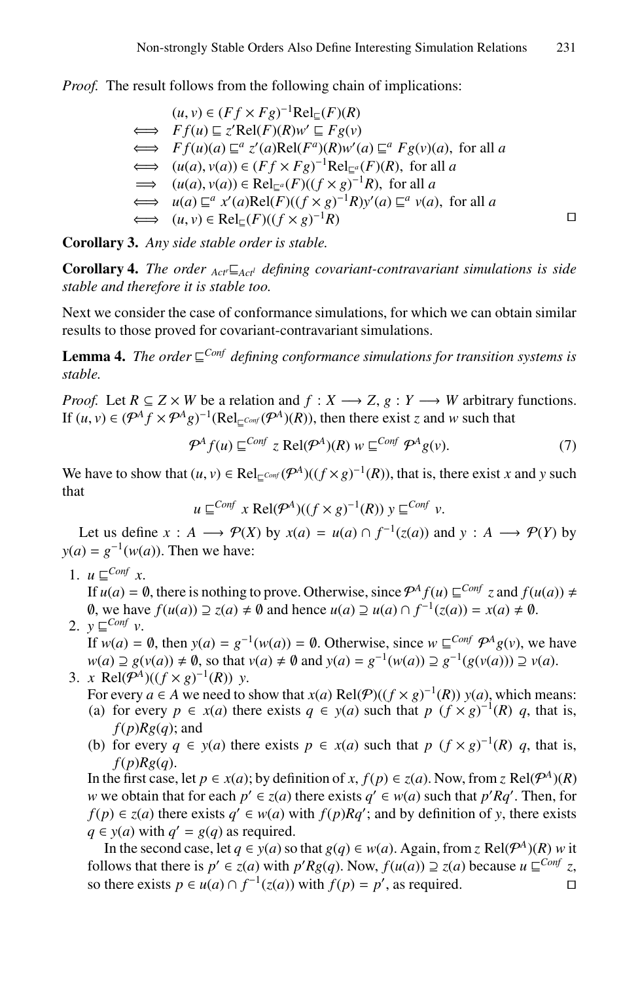*Proof.* The result follows from the following chain of implications:

$$
(u, v) \in (Ff \times Fg)^{-1}Rel_{\sqsubseteq}(F)(R)
$$
  
\n
$$
\iff Ff(u) \sqsubseteq z'Rel(F)(R)w' \sqsubseteq Fg(v)
$$
  
\n
$$
\iff Ff(u)(a) \sqsubseteq^a z'(a)Rel(F^a)(R)w'(a) \sqsubseteq^a Fg(v)(a), \text{ for all } a
$$
  
\n
$$
\iff (u(a), v(a)) \in (Ff \times Fg)^{-1}Rel_{\sqsubseteq^a}(F)(R), \text{ for all } a
$$
  
\n
$$
\iff u(a) \sqsubseteq^a x'(a)Rel(F)((f \times g)^{-1}R)y'(a) \sqsubseteq^a v(a), \text{ for all } a
$$
  
\n
$$
\iff (u, v) \in Rel_{\sqsubseteq}(F)((f \times g)^{-1}R)
$$

**Corollary 3.** *Any side stable order is stable.*

**Corollary 4.** The order  $_{Act}$ <sup> $\sqsubseteq$ </sup> $_{Act}$ <sup>*l*</sup> defining covariant-contravariant simulations is side *stable and therefore it is stable too.*

Next we consider the case of conformance simulations, for which we can obtain similar results to those proved for covariant-contravariant simulations.

**Lemma 4.** The order  $\subseteq^{\text{Conf}}$  defining conformance simulations for transition systems is *stable.*

*Proof.* Let  $R \subseteq Z \times W$  be a relation and  $f : X \longrightarrow Z$ ,  $g : Y \longrightarrow W$  arbitrary functions. If  $(u, v) \in (\mathcal{P}^A f \times \mathcal{P}^A g)^{-1}(\text{Rel}_{\subseteq^{\text{Conf}}}(\mathcal{P}^A)(R))$ , then there exist *z* and *w* such that

$$
\mathcal{P}^A f(u) \sqsubseteq^{\text{Conf}} z \text{Rel}(\mathcal{P}^A)(R) w \sqsubseteq^{\text{Conf}} \mathcal{P}^A g(v). \tag{7}
$$

We have to show that  $(u, v) \in \text{Rel}_{\subseteq^{\text{Conf}}}(\mathcal{P}^A)((f \times g)^{-1}(R))$ , that is, there exist *x* and *y* such that

$$
u \sqsubseteq^{Conf} x \text{ Rel}(\mathcal{P}^A)((f \times g)^{-1}(R)) y \sqsubseteq^{Conf} v.
$$

Let us define  $x : A \longrightarrow \mathcal{P}(X)$  by  $x(a) = u(a) \cap f^{-1}(z(a))$  and  $y : A \longrightarrow \mathcal{P}(Y)$  by  $y(a) = g^{-1}(w(a))$ . Then we have:

1.  $u \sqsubseteq^{\text{Conf}} x$ .

If  $u(a) = \emptyset$ , there is nothing to prove. Otherwise, since  $P^A f(u) \sqsubseteq^{\text{Conf}} z$  and  $f(u(a)) \neq$  $\emptyset$ , we have  $f(u(a)) \supseteq z(a) \neq \emptyset$  and hence  $u(a) \supseteq u(a) \cap f^{-1}(z(a)) = x(a) \neq \emptyset$ .

- 2.  $y \sqsubseteq^{\textit{Conf}} v$ .
	- If  $w(a) = \emptyset$ , then  $y(a) = g^{-1}(w(a)) = \emptyset$ . Otherwise, since  $w \sqsubseteq^{\text{Conf}} \mathcal{P}^A g(v)$ , we have *w*(*a*) ⊇ *g*(*v*(*a*)) ≠ **Ø**, so that *v*(*a*) ≠ **Ø** and *y*(*a*) = *g*<sup>-1</sup>(*w*(*a*)) ⊇ *g*<sup>-1</sup>(*g*(*v*(*a*))) ⊇ *v*(*a*).
- 3. *x* Rel $(\overline{P}^A)((f \times g)^{-1}(R))$  *y*.
	- For every *a* ∈ *A* we need to show that *x*(*a*) Rel( $\mathcal{P}$ )((*f* × *g*)<sup>-1</sup>(*R*)) *y*(*a*), which means: (a) for every  $p \in x(a)$  there exists  $q \in y(a)$  such that  $p \left( f \times g \right)^{-1}(R)$   $q$ , that is,  $f(p)Rg(q)$ ; and
	- (b) for every  $q \in y(a)$  there exists  $p \in x(a)$  such that  $p (f \times g)^{-1}(R) q$ , that is, *f*(*p*)*Rg*(*q*).

In the first case, let  $p \in x(a)$ ; by definition of  $x, f(p) \in z(a)$ . Now, from  $z \text{ Rel}(\mathcal{P}^A)(R)$ *w* we obtain that for each  $p' \in z(a)$  there exists  $q' \in w(a)$  such that  $p'Rq'$ . Then, for *f*(*p*) ∈ *z*(*a*) there exists  $q' \text{ ∈ } w(a)$  with  $f(p)Rq'$ ; and by definition of *y*, there exists  $q \in y(a)$  with  $q' = g(q)$  as required.

In the second case, let  $q \in y(a)$  so that  $g(q) \in w(a)$ . Again, from *z* Rel( $\mathcal{P}^{A}(R)$ ) *w* it follows that there is  $p' \in z(a)$  with  $p'Rg(q)$ . Now,  $f(u(a)) \supseteq z(a)$  because  $u \sqsubseteq^{\text{Conf}} z$ , so there exists  $p \in u(a) \cap f^{-1}(z(a))$  with  $f(p) = p'$ , as required. □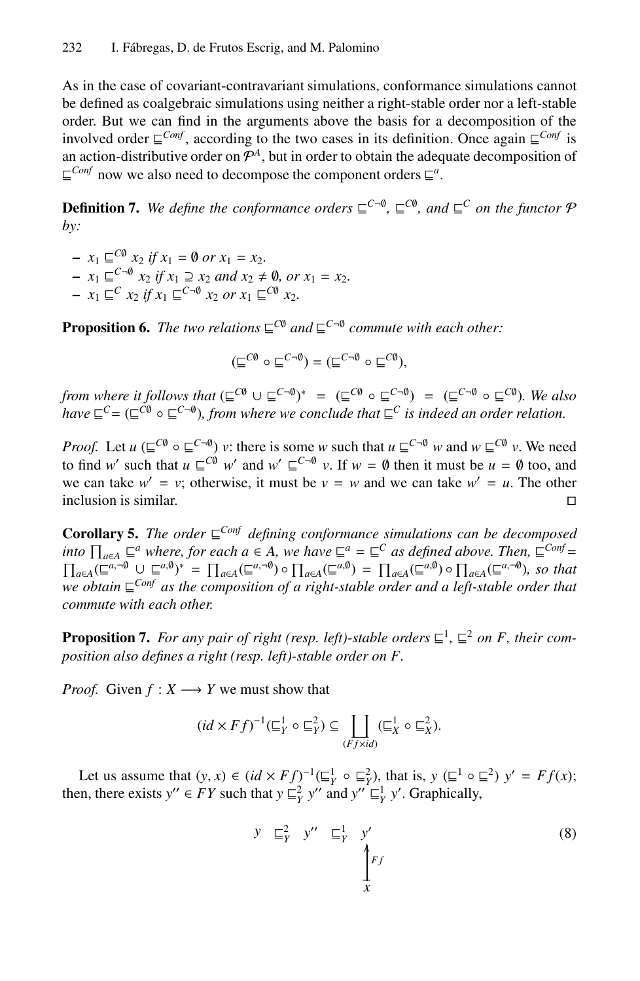As in the case of covariant-contravariant simulations, conformance simulations cannot be defined as coalgebraic simulations using neither a right-stable order nor a left-stable order. But we can find in the arguments above the basis for a decomposition of the involved order  $\subseteq^{Conf}$ , according to the two cases in its definition. Once again  $\subseteq^{Conf}$  is an action-distributive order on  $\overline{P}^A$ , but in order to obtain the adequate decomposition of  $\subseteq^{\text{Conf}}$  now we also need to decompose the component orders  $\subseteq^a$ .

**Definition 7.** We define the conformance orders  $\subseteq^{C-\emptyset}$ ,  $\subseteq^{C\emptyset}$ , and  $\subseteq^{C}$  on the functor  $P$ *by:*

- $x_1 \sqsubseteq^{C0} x_2$  *if*  $x_1 = \emptyset$  *or*  $x_1 = x_2$ *.*
- $x_1 \sqsubseteq^{C \neg \emptyset} x_2 \text{ if } x_1 \supseteq x_2 \text{ and } x_2 \neq \emptyset, \text{ or } x_1 = x_2.$
- $x_1 \sqsubseteq^C x_2$  *if*  $x_1 \sqsubseteq^{C \neg \emptyset} x_2$  *or*  $x_1 \sqsubseteq^{C \emptyset} x_2$ *.*

**Proposition 6.** The two relations  $\subseteq^{\mathbb{C}^0}$  and  $\subseteq^{\mathbb{C}^{-0}}$  commute with each other:

$$
(\sqsubseteq^{C\emptyset}\circ\sqsubseteq^{C\neg\emptyset})=(\sqsubseteq^{C\neg\emptyset}\circ\sqsubseteq^{C\emptyset}),
$$

*from where it follows that*  $(\subseteq^{\mathbb{C}\emptyset} \cup \subseteq^{\mathbb{C}-\emptyset})^* = (\subseteq^{\mathbb{C}\emptyset} \circ \subseteq^{\mathbb{C}-\emptyset}) = (\subseteq^{\mathbb{C}-\emptyset} \circ \subseteq^{\mathbb{C}\emptyset})$ . We also  $have \mathcal{L}^C = (\mathcal{L}^{C0} \circ \mathcal{L}^{C-\emptyset})$ , from where we conclude that  $\mathcal{L}^C$  is indeed an order relation.

*Proof.* Let  $u \in C^0 \circ C^{-0}$  *v*: there is some *w* such that  $u \subseteq C^{-0}$  *w* and  $w \subseteq C^0$  *v*. We need to find *w* such that  $u \subseteq C^0$  *w* and  $w' \subseteq C^{-0}$  *v*. If  $w = \emptyset$  then it must be  $u = \emptyset$  too, and we can take  $w' = v$ ; otherwise, it must be  $v = w$  and we can take  $w' = u$ . The other inclusion is similar.

**Corollary 5.** The order  $\subseteq^{\text{Conf}}$  defining conformance simulations can be decomposed *into*  $\prod_{a \in A} \subseteq^a$  where, for each  $a \in A$ , we have  $\subseteq^a = \subseteq^C$  as defined above. Then,  $\subseteq^{Conf}$  $\prod_{a \in A} (\subseteq^{a, \neg \emptyset} \cup \subseteq^{a, \emptyset})^* = \prod_{a \in A} (\subseteq^{a, \neg \emptyset}) \circ \prod_{a \in A} (\subseteq^{a, \emptyset}) = \prod_{a \in A} (\subseteq^{a, \neg \emptyset}) \circ \prod_{a \in A} (\subseteq^{a, \neg \emptyset})$ *, so that* we obtain  $\subseteq^{\text{Conf}}$  as the composition of a right-stable order and a left-stable order that *commute with each other.*

**Proposition 7.** For any pair of right (resp. left)-stable orders  $\sqsubseteq^1$ ,  $\sqsubseteq^2$  on F, their com*position also defines a right (resp. left)-stable order on F.*

*Proof.* Given  $f: X \longrightarrow Y$  we must show that

$$
(id\times Ff)^{-1}(\sqsubseteq_Y^1\circ\sqsubseteq_Y^2)\subseteq\coprod_{(Ff\times id)}(\sqsubseteq_X^1\circ\sqsubseteq_X^2).
$$

Let us assume that  $(y, x) \in (id \times Ff)^{-1}(\sqsubseteq_Y^1 \circ \sqsubseteq_Y^2)$ , that is,  $y (\sqsubseteq^1 \circ \sqsubseteq^2)$   $y' = Ff(x)$ ; then, there exists  $y'' \in FY$  such that  $y \sqsubseteq_Y^2 y''$  and  $y'' \sqsubseteq_Y^1 y'$ . Graphically,

$$
y \subseteq_{Y}^{2} y'' \subseteq_{Y}^{1} y' \qquad (8)
$$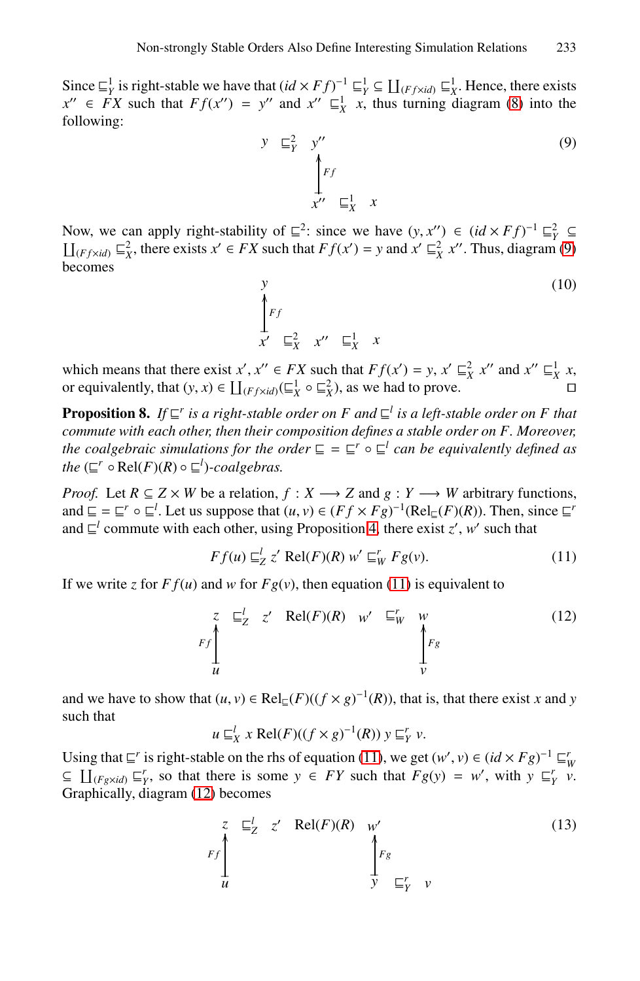<span id="page-12-0"></span>Since  $\sqsubseteq_Y^1$  is right-stable we have that  $(id \times Ff)^{-1} \sqsubseteq_Y^1 \subseteq \coprod_{(Ff \times id)} \sqsubseteq_X^1$ . Hence, there exists  $x'' \in FX$  such that  $Ff(x'') = y''$  and  $x'' \sqsubseteq_X^1 x$ , thus turnin[g](#page-12-0) diagram (8) into the following:

$$
y \subseteq_{Y}^{2} y''
$$
  

$$
\int_{x''}^{F} E_X^1 x
$$
  
(9)

Now, we can apply right-stability of  $\subseteq^2$ : since we have  $(y, x'') \in (id \times Ff)^{-1} \subseteq^2_Y \subseteq$  $\iint_{(F f \times id)} \Xi_X^2$ , there exists *x*′ ∈ *FX* such that  $F f(x') = y$  and  $x' \Xi_X^2 x''$ . Thus, diagram (9) becomes

$$
\begin{aligned}\ny \\
Ff \\
x' &\sqsubseteq_X^2 x'' \sqsubseteq_X^1 x\n\end{aligned} \tag{10}
$$

which means that there exist  $x'$ ,  $x'' \in FX$  such that  $Ff(x') = y$ ,  $x' \sqsubseteq_X^2 x''$  and  $x'' \sqsubseteq_X^1 x$ , or equivalently, that  $(y, x) \in \prod_{(Ff \times id)}(\sqsubseteq_X^1 \circ \sqsubseteq_X^2)$  $(y, x) \in \prod_{(Ff \times id)}(\sqsubseteq_X^1 \circ \sqsubseteq_X^2)$  $(y, x) \in \prod_{(Ff \times id)}(\sqsubseteq_X^1 \circ \sqsubseteq_X^2)$ , as we had to prove. □

<span id="page-12-1"></span>**Proposition 8.** If  $\subseteq$ <sup>*r*</sup> is a right-stable order on F and  $\subseteq$ <sup>*l*</sup> is a left-stable order on F that *commute with each other, then their composition defines a stable order on F. Moreover, the coalgebraic simulations for th[e o](#page-12-1)rder*  $\subseteq = \subseteq^r \circ \sqsubseteq^l$  *can be equivalently defined as the*  $(\sqsubseteq^r \circ Rel(F)(R) \circ \sqsubseteq^l)$ *-coalgebras.* 

*Proof.* Let  $R \subseteq Z \times W$  be a relation,  $f : X \longrightarrow Z$  and  $g : Y \longrightarrow W$  arbitrary functions, and  $\subseteq = \subseteq^r \circ \subseteq^l$ . Let us suppose that  $(u, v) \in (Ff \times Fg)^{-1}(\text{Rel}_{\subseteq}(F)(R))$ . Then, since  $\subseteq^r$ and  $\subseteq^l$  commute with each other, using Proposition 4, there exist *z'*, *w'* such that

$$
Ff(u) \sqsubseteq_Z^l z' \text{ Rel}(F)(R) w' \sqsubseteq_W^r Fg(v).
$$
 (11)

If we write *z* for  $F f(u)$  and *w* for  $Fg(v)$ , then equation (11) is equivalent to

$$
\begin{array}{ccccccccc}\nz & \sqsubseteq_{Z}^{l} & z' & \text{Rel}(F)(R) & w' & \sqsubseteq_{W}^{r} & w \\
\uparrow & & & & \uparrow_{Fg} & & \\
u & & & & & v\n\end{array}
$$
 (12)

and we have to show that  $(u, v) \in \text{Rel}_{\square}(F)((f \times g)^{-1}(R))$ , that is, that there exist *x* and *y* such that

$$
u \sqsubseteq_X^l x \text{Rel}(F)((f \times g)^{-1}(R)) y \sqsubseteq_Y^r v.
$$

Using that  $\subseteq^r$  is right-stable on the rhs of equation (11), we get  $(w', v) \in (id \times Fg)^{-1} \sqsubseteq^r_W$  $\subseteq$   $\coprod_{(Fg\times id)} \sqsubseteq_{Y}^{r}$ , so that there is some  $y \in FY$  such that  $Fg(y) = w'$ , with  $y \sqsubseteq_{Y}^{r} v$ . Graphically, diagram (12) becomes

$$
\begin{array}{ccc}\nz & \sqsubseteq_{Z}^{l} & z' & \text{Rel}(F)(R) & w' \\
\uparrow_{Ff} & & \uparrow_{Fg} & & \\
u & & y & \sqsubseteq_{Y}^{r} & v\n\end{array}
$$
\n(13)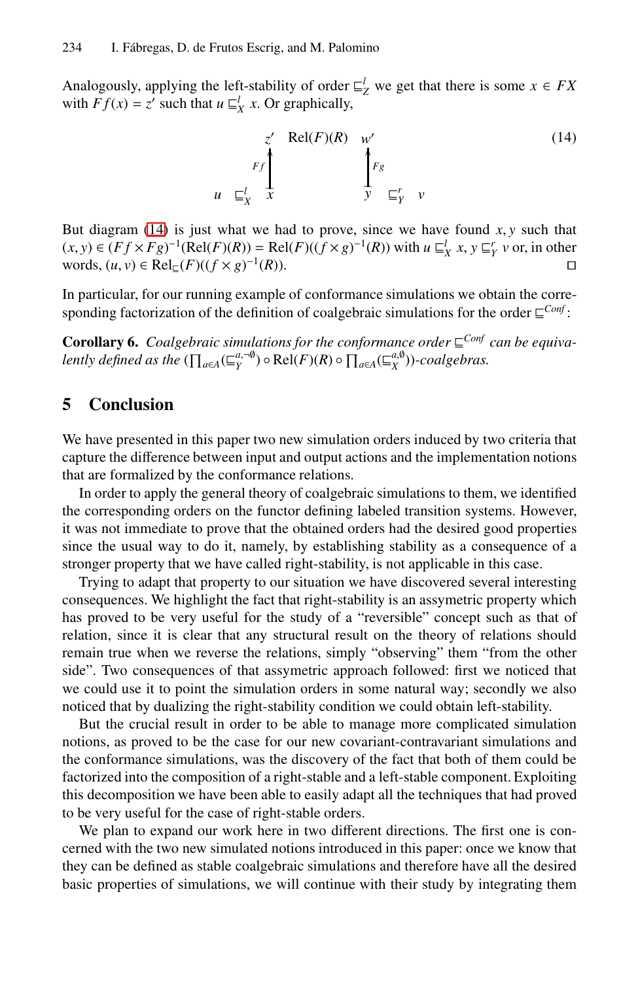*u* -

Analogously, applying the left-stability of order  $\sqsubseteq_Z^l$  we get that there is some  $x \in FX$ with  $Ff(x) = z'$  such that  $u \sqsubseteq_X^l x$ . Or graphically,

$$
z' \text{Rel}(F)(R) \quad w'
$$
\n
$$
Ff \qquad \qquad \downarrow Fg
$$
\n
$$
\sqsubseteq_X^l x \qquad \qquad y \qquad \sqsubseteq_Y^r v
$$
\n(14)

But diagram (14) is just what we had to prove, since we have found  $x, y$  such that  $f(x, y) ∈ (Ff × Fg)^{-1}(\text{Rel}(F)(R)) = \text{Rel}(F)((f × g)^{-1}(R))$  with  $u ⊆_X^l x, y ⊆_Y^r v$  or, in other *words*,  $(u, v)$  ∈ Rel<sub>⊑</sub> $(F)$ ( $(f \times g)$  $^{-1}(R)$ . □

In particular, for our running example of conformance simulations we obtain the corresponding factorization of the definition of coalgebraic simulations for the order  $\mathcal{L}^{Conf}$ :

**Corollary 6.** Coalgebraic simulations for the conformance order  $\boldsymbol{\Xi}^{\text{Conf}}$  can be equiva*lently defined as the*  $(\prod_{a \in A} (\Xi_{Y}^{a, \neg \emptyset}) \circ Rel(F)(R) \circ \prod_{a \in A} (\Xi_{X}^{a, \emptyset}))$ *-coalgebras.* 

## **5 Conclusion**

We have presented in this paper two new simulation orders induced by two criteria that capture the difference between input and output actions and the implementation notions that are formalized by the conformance relations.

In order to apply the general theory of coalgebraic simulations to them, we identified the corresponding orders on the functor defining labeled transition systems. However, it was not immediate to prove that the obtained orders had the desired good properties since the usual way to do it, namely, by establishing stability as a consequence of a stronger property that we have called right-stability, is not applicable in this case.

Trying to adapt that property to our situation we have discovered several interesting consequences. We highlight the fact that right-stability is an assymetric property which has proved to be very useful for the study of a "reversible" concept such as that of relation, since it is clear that any structural result on the theory of relations should remain true when we reverse the relations, simply "observing" them "from the other side". Two consequences of that assymetric approach followed: first we noticed that we could use it to point the simulation orders in some natural way; secondly we also noticed that by dualizing the right-stability condition we could obtain left-stability.

But the crucial result in order to be able to manage more complicated simulation notions, as proved to be the case for our new covariant-contravariant simulations and the conformance simulations, was the discovery of the fact that both of them could be factorized into the composition of a right-stable and a left-stable component. Exploiting this decomposition we have been able to easily adapt all the techniques that had proved to be very useful for the case of right-stable orders.

We plan to expand our work here in two different directions. The first one is concerned with the two new simulated notions introduced in this paper: once we know that they can be defined as stable coalgebraic simulations and therefore have all the desired basic properties of simulations, we will continue with their study by integrating them